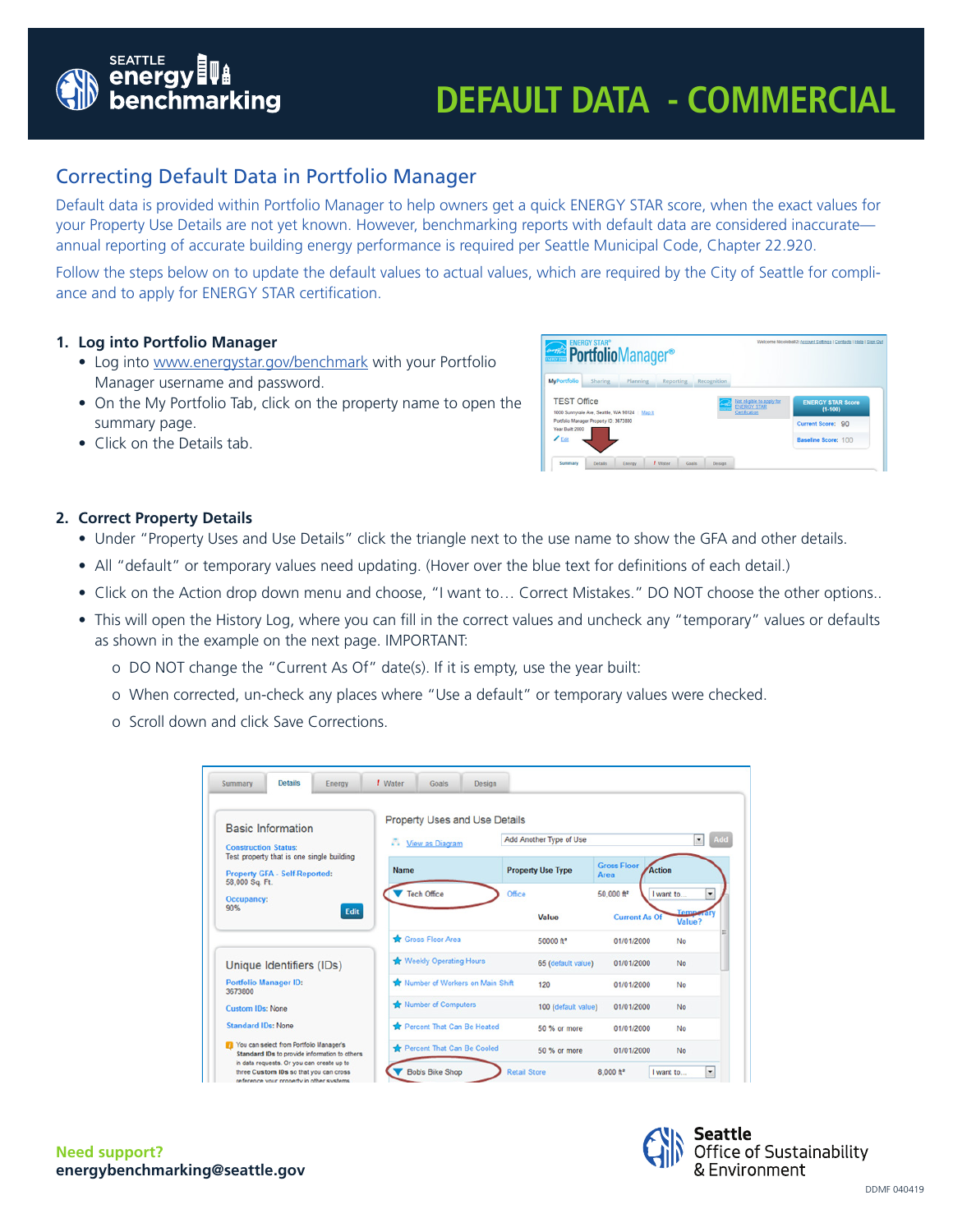

# **DEFAULT DATA - COMMERCIAL**

# Correcting Default Data in Portfolio Manager

Default data is provided within Portfolio Manager to help owners get a quick ENERGY STAR score, when the exact values for your Property Use Details are not yet known. However, benchmarking reports with default data are considered inaccurate annual reporting of accurate building energy performance is required per Seattle Municipal Code, Chapter 22.920.

Follow the steps below on to update the default values to actual values, which are required by the City of Seattle for compliance and to apply for ENERGY STAR certification.

## **1. Log into Portfolio Manager**

- Log into [www.energystar.gov/benchmark](http://www.energystar.gov/benchmark) with your Portfolio Manager username and password.
- On the My Portfolio Tab, click on the property name to open the summary page.
- Click on the Details tab.

| <b>PortfolioManager<sup>®</sup></b>                                                                         |                |          |                  | Welcome Nicoleball2: Account Settings   Contacts   Help   Sign Out |                                                                  |                                         |
|-------------------------------------------------------------------------------------------------------------|----------------|----------|------------------|--------------------------------------------------------------------|------------------------------------------------------------------|-----------------------------------------|
| <b>MyPortfolio</b>                                                                                          | Sharing        | Planning | Reporting        | Recognition                                                        |                                                                  |                                         |
| <b>TEST Office</b>                                                                                          |                |          |                  |                                                                    | Not eligible to apply for<br><b>ENERGY STAR</b><br>Certification | <b>ENERGY STAR Score</b><br>$(1 - 100)$ |
| 1000 Sunnyvale Ave, Seattle, WA 98124   Map It<br>Portfolio Manager Property ID: 3673800<br>Year Built 2000 |                |          |                  |                                                                    |                                                                  | Current Score: 90                       |
| $Z_{Edd}$                                                                                                   |                |          |                  |                                                                    |                                                                  | Baseline Score: 100                     |
| Summary                                                                                                     | <b>Details</b> | Energy   | I Water<br>Goals | Design                                                             |                                                                  |                                         |

### **2. Correct Property Details**

- Under "Property Uses and Use Details" click the triangle next to the use name to show the GFA and other details.
- All "default" or temporary values need updating. (Hover over the blue text for definitions of each detail.)
- Click on the Action drop down menu and choose, "I want to… Correct Mistakes." DO NOT choose the other options..
- This will open the History Log, where you can fill in the correct values and uncheck any "temporary" values or defaults as shown in the example on the next page. IMPORTANT:
	- o DO NOT change the "Current As Of" date(s). If it is empty, use the year built:
	- o When corrected, un-check any places where "Use a default" or temporary values were checked.
	- o Scroll down and click Save Corrections.

| <b>Basic Information</b>                                                                                                              | Property Uses and Use Details   |                     |                          |                                      |                            |  |  |
|---------------------------------------------------------------------------------------------------------------------------------------|---------------------------------|---------------------|--------------------------|--------------------------------------|----------------------------|--|--|
| <b>Construction Status:</b>                                                                                                           | - View as Diagram               |                     | Add Another Type of Use  |                                      | Add<br>$\mathbf{v}$        |  |  |
| Test property that is one single building<br><b>Property GFA - Self-Reported:</b><br>58,000 Sq. Ft.                                   | <b>Name</b>                     |                     | <b>Property Use Type</b> | <b>Gross Floor</b><br>Action<br>Area |                            |  |  |
| Occupancy:                                                                                                                            | Tech Office                     | Office              |                          | 50,000 ft <sup>2</sup>               | I want to<br>٠             |  |  |
| 90%<br>Edit                                                                                                                           |                                 |                     | Value                    | <b>Current As Of</b>                 | <b>Temporary</b><br>Value? |  |  |
|                                                                                                                                       | Gross Floor Area                |                     | 50000 ft <sup>2</sup>    | 01/01/2000                           | No                         |  |  |
| Unique Identifiers (IDs)                                                                                                              | Weekly Operating Hours          |                     | 65 (default value)       | 01/01/2000                           | No                         |  |  |
| <b>Portfolio Manager ID:</b><br>3673800                                                                                               | Number of Workers on Main Shift |                     | 120                      | 01/01/2000                           | No                         |  |  |
| <b>Custom IDs: None</b>                                                                                                               | Number of Computers             | 100 (default value) | 01/01/2000               | No                                   |                            |  |  |
| <b>Standard IDs: None</b>                                                                                                             | Percent That Can Be Heated      |                     | 50 % or more             | 01/01/2000                           | No                         |  |  |
| You can select from Portfolio Manager's<br>Standard IDs to provide information to others<br>in data requests. Or you can create up to | Percent That Can Be Cooled      |                     | 50 % or more             | 01/01/2000                           | No                         |  |  |